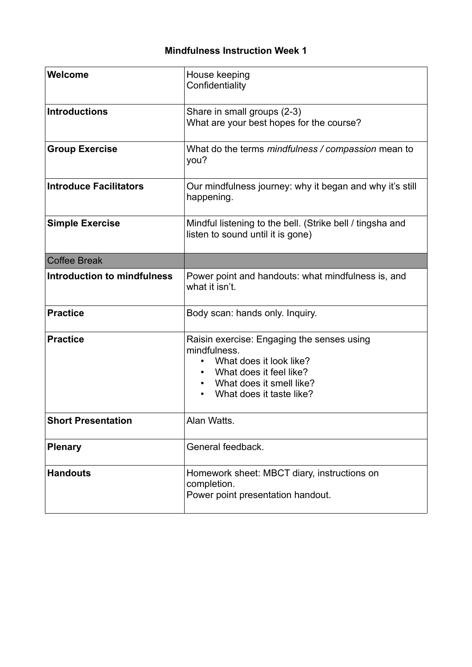## **Mindfulness Instruction Week 1**

| Welcome                            | House keeping<br>Confidentiality                                                                                                                                         |
|------------------------------------|--------------------------------------------------------------------------------------------------------------------------------------------------------------------------|
| <b>Introductions</b>               | Share in small groups (2-3)<br>What are your best hopes for the course?                                                                                                  |
| <b>Group Exercise</b>              | What do the terms mindfulness / compassion mean to<br>you?                                                                                                               |
| <b>Introduce Facilitators</b>      | Our mindfulness journey: why it began and why it's still<br>happening.                                                                                                   |
| <b>Simple Exercise</b>             | Mindful listening to the bell. (Strike bell / tingsha and<br>listen to sound until it is gone)                                                                           |
| <b>Coffee Break</b>                |                                                                                                                                                                          |
| <b>Introduction to mindfulness</b> | Power point and handouts: what mindfulness is, and<br>what it isn't.                                                                                                     |
| <b>Practice</b>                    | Body scan: hands only. Inquiry.                                                                                                                                          |
| <b>Practice</b>                    | Raisin exercise: Engaging the senses using<br>mindfulness.<br>What does it look like?<br>What does it feel like?<br>What does it smell like?<br>What does it taste like? |
| <b>Short Presentation</b>          | Alan Watts.                                                                                                                                                              |
| <b>Plenary</b>                     | General feedback.                                                                                                                                                        |
| <b>Handouts</b>                    | Homework sheet: MBCT diary, instructions on<br>completion.<br>Power point presentation handout.                                                                          |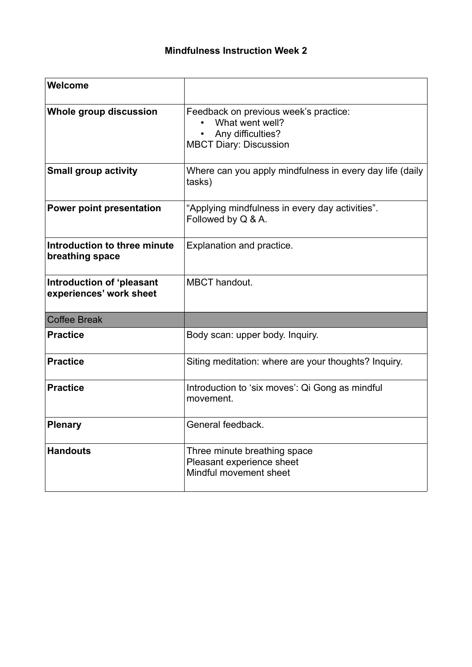| Welcome                                              |                                                                                                                |
|------------------------------------------------------|----------------------------------------------------------------------------------------------------------------|
| <b>Whole group discussion</b>                        | Feedback on previous week's practice:<br>What went well?<br>Any difficulties?<br><b>MBCT Diary: Discussion</b> |
| <b>Small group activity</b>                          | Where can you apply mindfulness in every day life (daily<br>tasks)                                             |
| <b>Power point presentation</b>                      | "Applying mindfulness in every day activities".<br>Followed by Q & A.                                          |
| Introduction to three minute<br>breathing space      | Explanation and practice.                                                                                      |
| Introduction of 'pleasant<br>experiences' work sheet | <b>MBCT</b> handout.                                                                                           |
| <b>Coffee Break</b>                                  |                                                                                                                |
| <b>Practice</b>                                      | Body scan: upper body. Inquiry.                                                                                |
| <b>Practice</b>                                      | Siting meditation: where are your thoughts? Inquiry.                                                           |
| <b>Practice</b>                                      | Introduction to 'six moves': Qi Gong as mindful<br>movement.                                                   |
| <b>Plenary</b>                                       | General feedback.                                                                                              |
| <b>Handouts</b>                                      | Three minute breathing space<br>Pleasant experience sheet<br>Mindful movement sheet                            |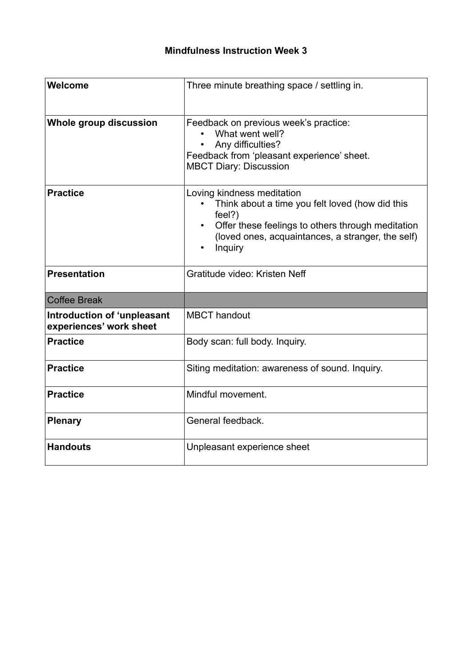| Welcome                                                | Three minute breathing space / settling in.                                                                                                                                                                               |
|--------------------------------------------------------|---------------------------------------------------------------------------------------------------------------------------------------------------------------------------------------------------------------------------|
| <b>Whole group discussion</b>                          | Feedback on previous week's practice:<br>What went well?<br>Any difficulties?<br>Feedback from 'pleasant experience' sheet.<br><b>MBCT Diary: Discussion</b>                                                              |
| <b>Practice</b>                                        | Loving kindness meditation<br>Think about a time you felt loved (how did this<br>feel?)<br>Offer these feelings to others through meditation<br>$\bullet$<br>(loved ones, acquaintances, a stranger, the self)<br>Inquiry |
| <b>Presentation</b>                                    | Gratitude video: Kristen Neff                                                                                                                                                                                             |
| <b>Coffee Break</b>                                    |                                                                                                                                                                                                                           |
| Introduction of 'unpleasant<br>experiences' work sheet | <b>MBCT</b> handout                                                                                                                                                                                                       |
| <b>Practice</b>                                        | Body scan: full body. Inquiry.                                                                                                                                                                                            |
| <b>Practice</b>                                        | Siting meditation: awareness of sound. Inquiry.                                                                                                                                                                           |
| <b>Practice</b>                                        | Mindful movement.                                                                                                                                                                                                         |
| <b>Plenary</b>                                         | General feedback.                                                                                                                                                                                                         |
| <b>Handouts</b>                                        | Unpleasant experience sheet                                                                                                                                                                                               |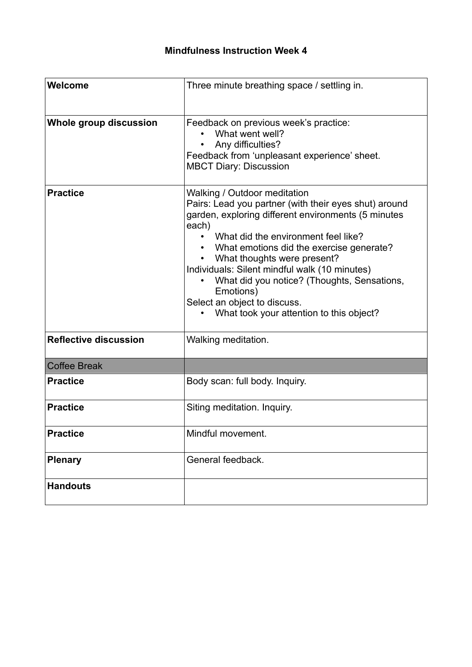| Welcome                       | Three minute breathing space / settling in.                                                                                                                                                                                                                                                                                                                                                                                                                      |
|-------------------------------|------------------------------------------------------------------------------------------------------------------------------------------------------------------------------------------------------------------------------------------------------------------------------------------------------------------------------------------------------------------------------------------------------------------------------------------------------------------|
| <b>Whole group discussion</b> | Feedback on previous week's practice:<br>What went well?<br>Any difficulties?<br>Feedback from 'unpleasant experience' sheet.<br><b>MBCT Diary: Discussion</b>                                                                                                                                                                                                                                                                                                   |
| <b>Practice</b>               | Walking / Outdoor meditation<br>Pairs: Lead you partner (with their eyes shut) around<br>garden, exploring different environments (5 minutes<br>each)<br>What did the environment feel like?<br>What emotions did the exercise generate?<br>What thoughts were present?<br>Individuals: Silent mindful walk (10 minutes)<br>What did you notice? (Thoughts, Sensations,<br>Emotions)<br>Select an object to discuss.<br>What took your attention to this object? |
| <b>Reflective discussion</b>  | Walking meditation.                                                                                                                                                                                                                                                                                                                                                                                                                                              |
| <b>Coffee Break</b>           |                                                                                                                                                                                                                                                                                                                                                                                                                                                                  |
| <b>Practice</b>               | Body scan: full body. Inquiry.                                                                                                                                                                                                                                                                                                                                                                                                                                   |
| <b>Practice</b>               | Siting meditation. Inquiry.                                                                                                                                                                                                                                                                                                                                                                                                                                      |
| <b>Practice</b>               | Mindful movement.                                                                                                                                                                                                                                                                                                                                                                                                                                                |
| <b>Plenary</b>                | General feedback.                                                                                                                                                                                                                                                                                                                                                                                                                                                |
| <b>Handouts</b>               |                                                                                                                                                                                                                                                                                                                                                                                                                                                                  |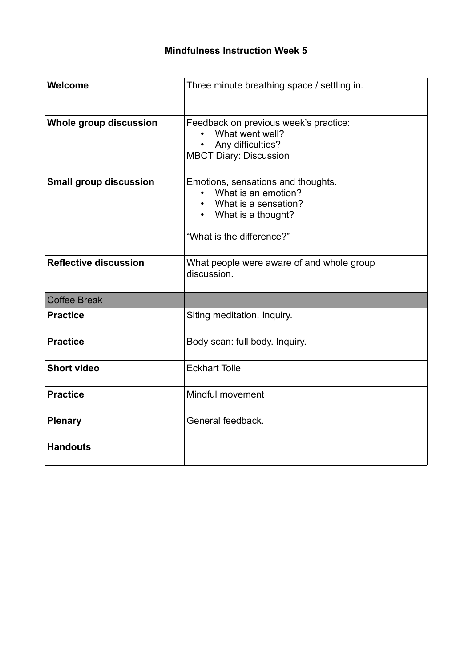| Welcome                       | Three minute breathing space / settling in.                                                                                                       |
|-------------------------------|---------------------------------------------------------------------------------------------------------------------------------------------------|
| <b>Whole group discussion</b> | Feedback on previous week's practice:<br>What went well?<br>Any difficulties?<br><b>MBCT Diary: Discussion</b>                                    |
| <b>Small group discussion</b> | Emotions, sensations and thoughts.<br>What is an emotion?<br>What is a sensation?<br>What is a thought?<br>$\bullet$<br>"What is the difference?" |
| <b>Reflective discussion</b>  | What people were aware of and whole group<br>discussion.                                                                                          |
| <b>Coffee Break</b>           |                                                                                                                                                   |
| <b>Practice</b>               | Siting meditation. Inquiry.                                                                                                                       |
| <b>Practice</b>               | Body scan: full body. Inquiry.                                                                                                                    |
| <b>Short video</b>            | <b>Eckhart Tolle</b>                                                                                                                              |
| <b>Practice</b>               | <b>Mindful movement</b>                                                                                                                           |
| <b>Plenary</b>                | General feedback.                                                                                                                                 |
| <b>Handouts</b>               |                                                                                                                                                   |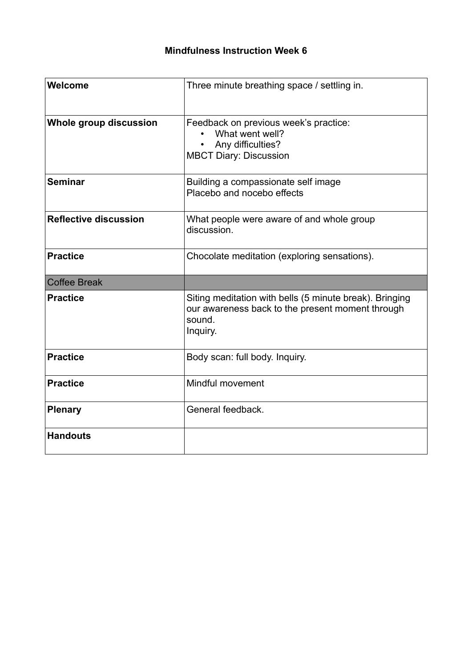| Welcome                       | Three minute breathing space / settling in.                                                                                       |
|-------------------------------|-----------------------------------------------------------------------------------------------------------------------------------|
| <b>Whole group discussion</b> | Feedback on previous week's practice:<br>What went well?<br>Any difficulties?<br><b>MBCT Diary: Discussion</b>                    |
| <b>Seminar</b>                | Building a compassionate self image<br>Placebo and nocebo effects                                                                 |
| <b>Reflective discussion</b>  | What people were aware of and whole group<br>discussion.                                                                          |
| <b>Practice</b>               | Chocolate meditation (exploring sensations).                                                                                      |
| <b>Coffee Break</b>           |                                                                                                                                   |
| <b>Practice</b>               | Siting meditation with bells (5 minute break). Bringing<br>our awareness back to the present moment through<br>sound.<br>Inquiry. |
| <b>Practice</b>               | Body scan: full body. Inquiry.                                                                                                    |
| <b>Practice</b>               | <b>Mindful movement</b>                                                                                                           |
| <b>Plenary</b>                | General feedback.                                                                                                                 |
| <b>Handouts</b>               |                                                                                                                                   |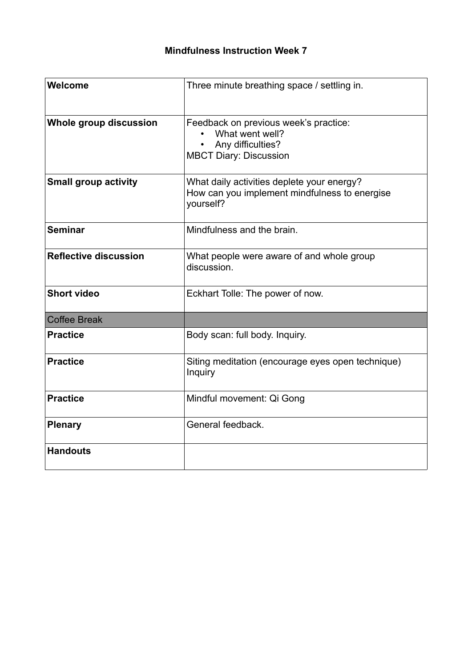| Welcome                      | Three minute breathing space / settling in.                                                                    |
|------------------------------|----------------------------------------------------------------------------------------------------------------|
| Whole group discussion       | Feedback on previous week's practice:<br>What went well?<br>Any difficulties?<br><b>MBCT Diary: Discussion</b> |
| <b>Small group activity</b>  | What daily activities deplete your energy?<br>How can you implement mindfulness to energise<br>yourself?       |
| <b>Seminar</b>               | Mindfulness and the brain.                                                                                     |
| <b>Reflective discussion</b> | What people were aware of and whole group<br>discussion.                                                       |
| <b>Short video</b>           | Eckhart Tolle: The power of now.                                                                               |
| <b>Coffee Break</b>          |                                                                                                                |
| <b>Practice</b>              | Body scan: full body. Inquiry.                                                                                 |
| <b>Practice</b>              | Siting meditation (encourage eyes open technique)<br>Inquiry                                                   |
| <b>Practice</b>              | Mindful movement: Qi Gong                                                                                      |
| <b>Plenary</b>               | General feedback.                                                                                              |
| <b>Handouts</b>              |                                                                                                                |